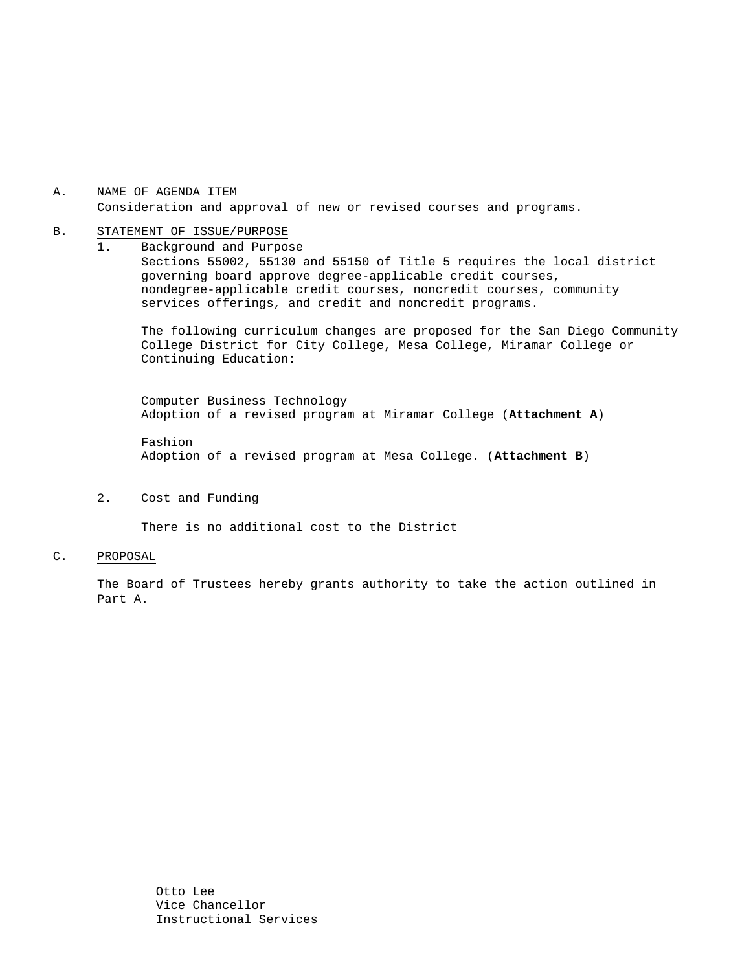#### A. NAME OF AGENDA ITEM Consideration and approval of new or revised courses and programs.

#### B. STATEMENT OF ISSUE/PURPOSE

1. Background and Purpose Sections 55002, 55130 and 55150 of Title 5 requires the local district governing board approve degree-applicable credit courses, nondegree-applicable credit courses, noncredit courses, community services offerings, and credit and noncredit programs.

The following curriculum changes are proposed for the San Diego Community College District for City College, Mesa College, Miramar College or Continuing Education:

 Computer Business Technology Adoption of a revised program at Miramar College (**Attachment A**)

Fashion Adoption of a revised program at Mesa College. (**Attachment B**)

2. Cost and Funding

There is no additional cost to the District

#### C. PROPOSAL

The Board of Trustees hereby grants authority to take the action outlined in Part A.

> Otto Lee Vice Chancellor Instructional Services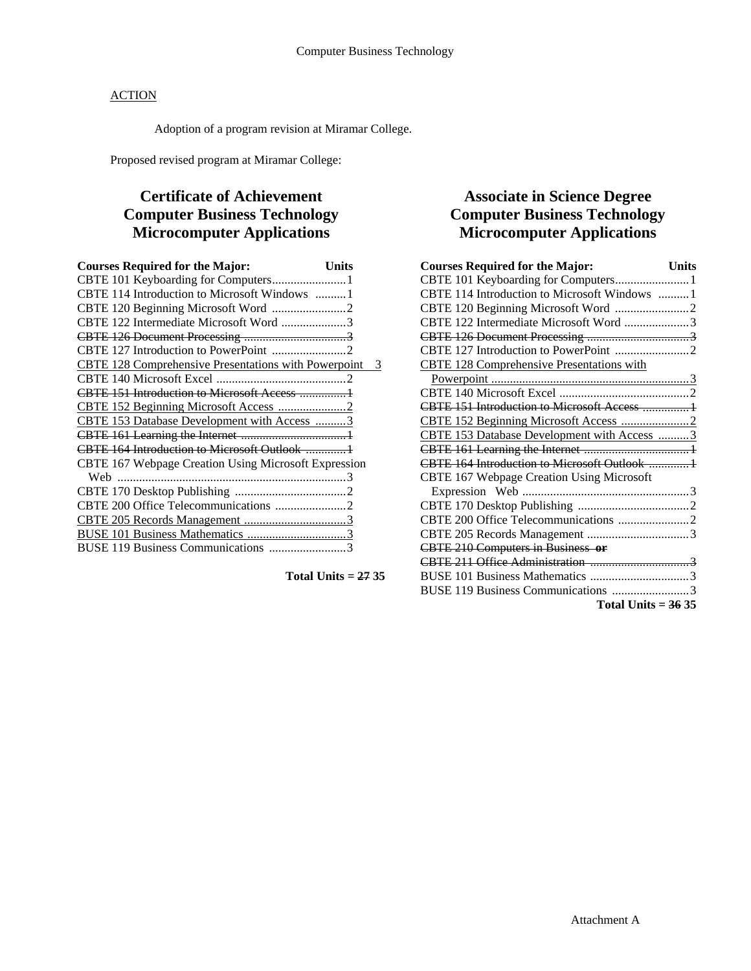### **ACTION**

Adoption of a program revision at Miramar College.

Proposed revised program at Miramar College:

# **Certificate of Achievement Computer Business Technology Microcomputer Applications**

| <b>Courses Required for the Major:</b>                 | Units |
|--------------------------------------------------------|-------|
|                                                        |       |
| CBTE 114 Introduction to Microsoft Windows 1           |       |
|                                                        |       |
| CBTE 122 Intermediate Microsoft Word 3                 |       |
|                                                        |       |
|                                                        |       |
| CBTE 128 Comprehensive Presentations with Powerpoint 3 |       |
|                                                        |       |
| CBTE 151 Introduction to Microsoft Access              |       |
|                                                        |       |
| CBTE 153 Database Development with Access 3            |       |
|                                                        |       |
| CBTE 164 Introduction to Microsoft Outlook 1           |       |
| CBTE 167 Webpage Creation Using Microsoft Expression   |       |
| Web                                                    |       |
|                                                        |       |
| CBTE 200 Office Telecommunications 2                   |       |
|                                                        |       |
|                                                        |       |
| BUSE 119 Business Communications                       |       |
|                                                        |       |

**Total Units = 27 35** 

### **Associate in Science Degree Computer Business Technology Microcomputer Applications**

| <b>Courses Required for the Major:</b>            | <b>Units</b> |
|---------------------------------------------------|--------------|
| CBTE 101 Keyboarding for Computers 1              |              |
| CBTE 114 Introduction to Microsoft Windows 1      |              |
|                                                   |              |
| CBTE 122 Intermediate Microsoft Word 3            |              |
|                                                   |              |
| CBTE 127 Introduction to PowerPoint 2             |              |
| <b>CBTE 128 Comprehensive Presentations with</b>  |              |
|                                                   |              |
|                                                   |              |
| <b>CBTE 151 Introduction to Microsoft Access </b> |              |
|                                                   |              |
| CBTE 153 Database Development with Access  3      |              |
|                                                   |              |
|                                                   |              |
| CBTE 167 Webpage Creation Using Microsoft         |              |
|                                                   |              |
|                                                   |              |
|                                                   |              |
|                                                   |              |
| <b>CBTE 210 Computers in Business or</b>          |              |
|                                                   |              |
|                                                   |              |
| BUSE 119 Business Communications 3                |              |
| Total Units $=$ 36 35                             |              |